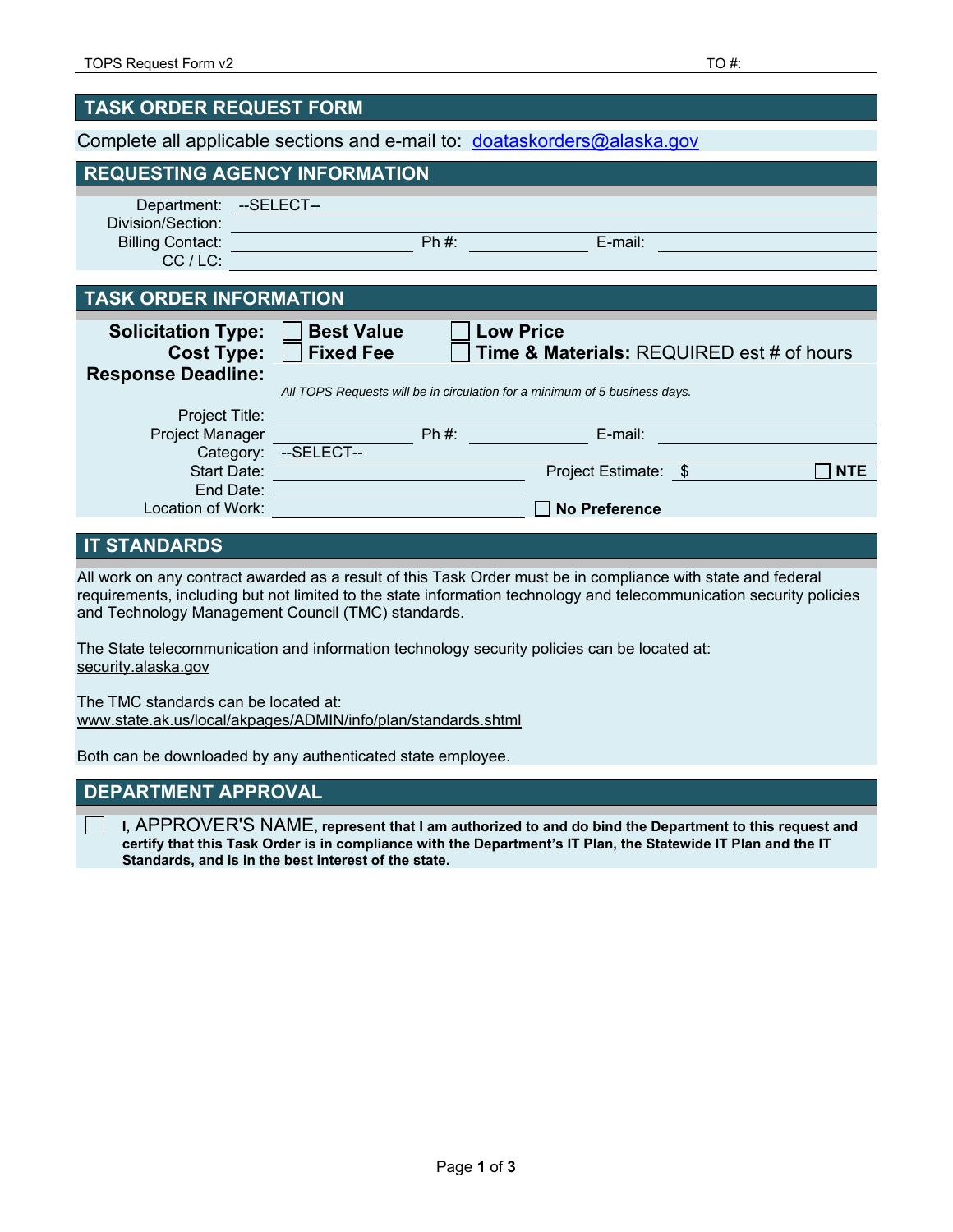| <b>TASK ORDER REQUEST FORM</b>                                              |                                                                                                                                                                                                 |  |  |
|-----------------------------------------------------------------------------|-------------------------------------------------------------------------------------------------------------------------------------------------------------------------------------------------|--|--|
| Complete all applicable sections and e-mail to: doataskorders@alaska.gov    |                                                                                                                                                                                                 |  |  |
| <b>REQUESTING AGENCY INFORMATION</b>                                        |                                                                                                                                                                                                 |  |  |
| Department: --SELECT--<br>Division/Section:                                 |                                                                                                                                                                                                 |  |  |
| Billing Contact: <b>Example 2014</b><br>$CC/LC$ :                           | E-mail:<br>$Ph#$ :                                                                                                                                                                              |  |  |
| <b>TASK ORDER INFORMATION</b>                                               |                                                                                                                                                                                                 |  |  |
| <b>Solicitation Type:</b><br><b>Cost Type:</b><br><b>Response Deadline:</b> | <b>Best Value</b><br><b>Low Price</b><br><b>Fixed Fee</b><br><b>Time &amp; Materials: REQUIRED est # of hours</b><br>All TOPS Requests will be in circulation for a minimum of 5 business days. |  |  |
| Project Title:<br>Project Manager                                           | $Ph#$ :<br>E-mail:                                                                                                                                                                              |  |  |
| Start Date:<br>End Date:                                                    | Category: --SELECT--<br>Project Estimate: \$<br><b>NTE</b>                                                                                                                                      |  |  |
| Location of Work:                                                           | <b>No Preference</b>                                                                                                                                                                            |  |  |

## **IT STANDARDS**

All work on any contract awarded as a result of this Task Order must be in compliance with state and federal requirements, including but not limited to the state information technology and telecommunication security policies and Technology Management Council (TMC) standards.

The State telecommunication and information technology security policies can be located at: security.alaska.gov

The TMC standards can be located at: www.state.ak.us/local/akpages/ADMIN/info/plan/standards.shtml

Both can be downloaded by any authenticated state employee.

## **DEPARTMENT APPROVAL**

**I,** APPROVER'S NAME**, represent that I am authorized to and do bind the Department to this request and certify that this Task Order is in compliance with the Department's IT Plan, the Statewide IT Plan and the IT Standards, and is in the best interest of the state.**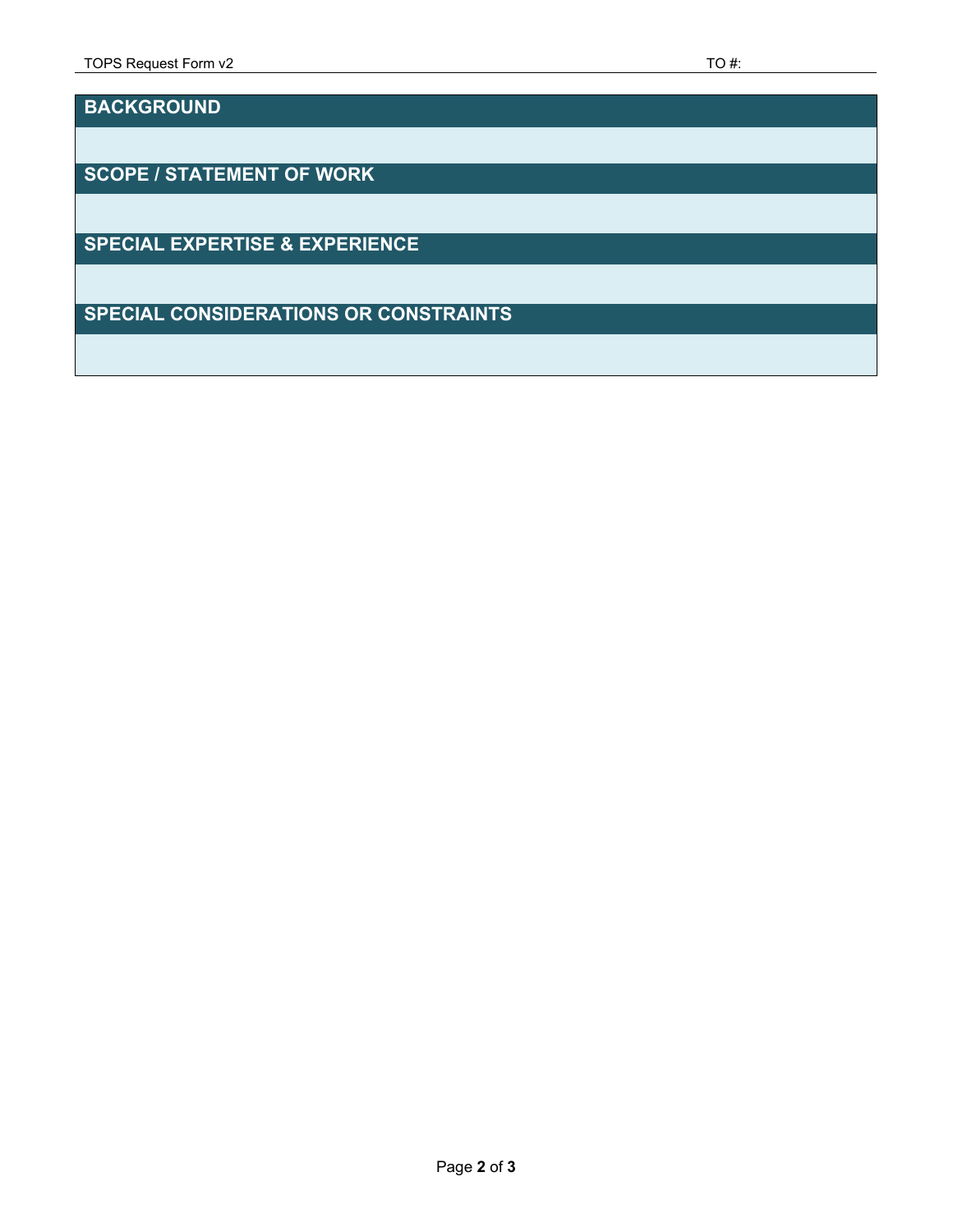**BACKGROUND** 

**SCOPE / STATEMENT OF WORK** 

**SPECIAL EXPERTISE & EXPERIENCE** 

**SPECIAL CONSIDERATIONS OR CONSTRAINTS**